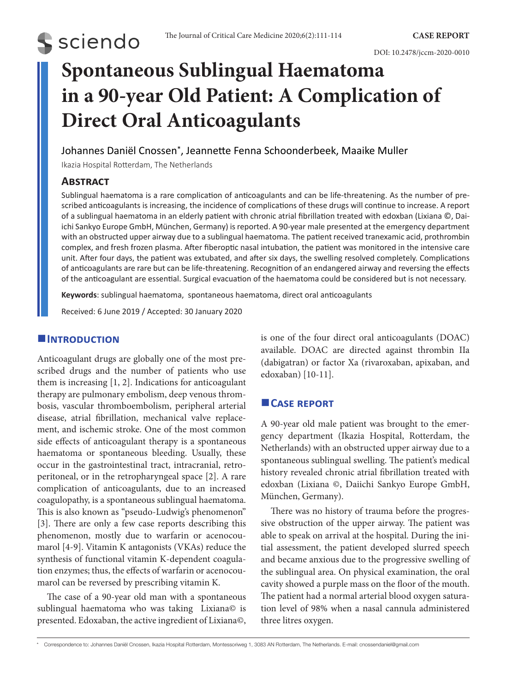# **Spontaneous Sublingual Haematoma in a 90-year Old Patient: A Complication of Direct Oral Anticoagulants**

# Johannes Daniël Cnossen\*, Jeannette Fenna Schoonderbeek, Maaike Muller

Ikazia Hospital Rotterdam, The Netherlands

## **Abstract**

**S** sciendo

Sublingual haematoma is a rare complication of anticoagulants and can be life-threatening. As the number of prescribed anticoagulants is increasing, the incidence of complications of these drugs will continue to increase. A report of a sublingual haematoma in an elderly patient with chronic atrial fibrillation treated with edoxban (Lixiana ©, Daiichi Sankyo Europe GmbH, München, Germany) is reported. A 90-year male presented at the emergency department with an obstructed upper airway due to a sublingual haematoma. The patient received tranexamic acid, prothrombin complex, and fresh frozen plasma. After fiberoptic nasal intubation, the patient was monitored in the intensive care unit. After four days, the patient was extubated, and after six days, the swelling resolved completely. Complications of anticoagulants are rare but can be life-threatening. Recognition of an endangered airway and reversing the effects of the anticoagulant are essential. Surgical evacuation of the haematoma could be considered but is not necessary.

**Keywords**: sublingual haematoma, spontaneous haematoma, direct oral anticoagulants

Received: 6 June 2019 / Accepted: 30 January 2020

## **Introduction**

Anticoagulant drugs are globally one of the most prescribed drugs and the number of patients who use them is increasing [1, 2]. Indications for anticoagulant therapy are pulmonary embolism, deep venous thrombosis, vascular thromboembolism, peripheral arterial disease, atrial fibrillation, mechanical valve replacement, and ischemic stroke. One of the most common side effects of anticoagulant therapy is a spontaneous haematoma or spontaneous bleeding. Usually, these occur in the gastrointestinal tract, intracranial, retroperitoneal, or in the retropharyngeal space [2]. A rare complication of anticoagulants, due to an increased coagulopathy, is a spontaneous sublingual haematoma. This is also known as "pseudo-Ludwig's phenomenon" [3]. There are only a few case reports describing this phenomenon, mostly due to warfarin or acenocoumarol [4-9]. Vitamin K antagonists (VKAs) reduce the synthesis of functional vitamin K-dependent coagulation enzymes; thus, the effects of warfarin or acenocoumarol can be reversed by prescribing vitamin K.

The case of a 90-year old man with a spontaneous sublingual haematoma who was taking Lixiana© is presented. Edoxaban, the active ingredient of Lixiana©, is one of the four direct oral anticoagulants (DOAC) available. DOAC are directed against thrombin IIa (dabigatran) or factor Xa (rivaroxaban, apixaban, and edoxaban) [10-11].

# **Case report**

A 90-year old male patient was brought to the emergency department (Ikazia Hospital, Rotterdam, the Netherlands) with an obstructed upper airway due to a spontaneous sublingual swelling. The patient's medical history revealed chronic atrial fibrillation treated with edoxban (Lixiana ©, Daiichi Sankyo Europe GmbH, München, Germany).

There was no history of trauma before the progressive obstruction of the upper airway. The patient was able to speak on arrival at the hospital. During the initial assessment, the patient developed slurred speech and became anxious due to the progressive swelling of the sublingual area. On physical examination, the oral cavity showed a purple mass on the floor of the mouth. The patient had a normal arterial blood oxygen saturation level of 98% when a nasal cannula administered three litres oxygen.

<sup>\*</sup> Correspondence to: Johannes Daniël Cnossen, Ikazia Hospital Rotterdam, Montessoriweg 1, 3083 AN Rotterdam, The Netherlands. E-mail: cnossendaniel@gmail.com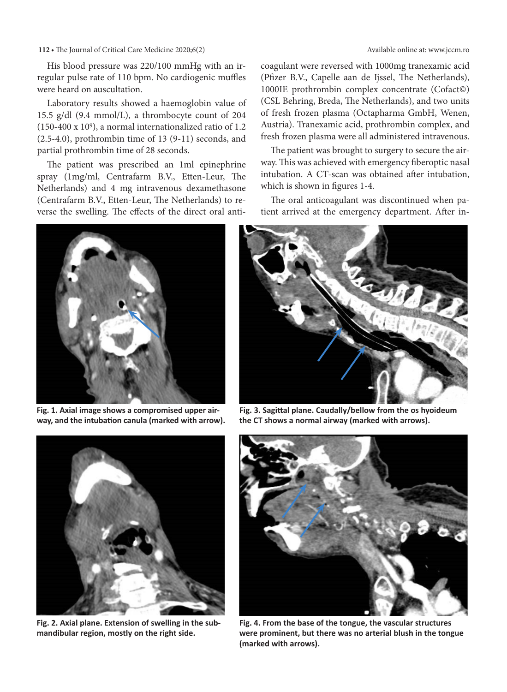**112** • The Journal of Critical Care Medicine 2020;6(2) Available online at: www.jccm.ro

His blood pressure was 220/100 mmHg with an irregular pulse rate of 110 bpm. No cardiogenic muffles were heard on auscultation.

Laboratory results showed a haemoglobin value of 15.5 g/dl (9.4 mmol/L), a thrombocyte count of 204 (150-400 x 109), a normal internationalized ratio of 1.2 (2.5-4.0), prothrombin time of 13 (9-11) seconds, and partial prothrombin time of 28 seconds.

The patient was prescribed an 1ml epinephrine spray (1mg/ml, Centrafarm B.V., Etten-Leur, The Netherlands) and 4 mg intravenous dexamethasone (Centrafarm B.V., Etten-Leur, The Netherlands) to reverse the swelling. The effects of the direct oral anti-

coagulant were reversed with 1000mg tranexamic acid (Pfizer B.V., Capelle aan de Ijssel, The Netherlands), 1000IE prothrombin complex concentrate (Cofact©) (CSL Behring, Breda, The Netherlands), and two units of fresh frozen plasma (Octapharma GmbH, Wenen, Austria). Tranexamic acid, prothrombin complex, and fresh frozen plasma were all administered intravenous.

The patient was brought to surgery to secure the airway. This was achieved with emergency fiberoptic nasal intubation. A CT-scan was obtained after intubation, which is shown in figures 1-4.

The oral anticoagulant was discontinued when patient arrived at the emergency department. After in-



**Fig. 1. Axial image shows a compromised upper airway, and the intubation canula (marked with arrow).** 



**Fig. 3. Sagittal plane. Caudally/bellow from the os hyoideum the CT shows a normal airway (marked with arrows).** 



**Fig. 2. Axial plane. Extension of swelling in the submandibular region, mostly on the right side.** 



**Fig. 4. From the base of the tongue, the vascular structures were prominent, but there was no arterial blush in the tongue (marked with arrows).**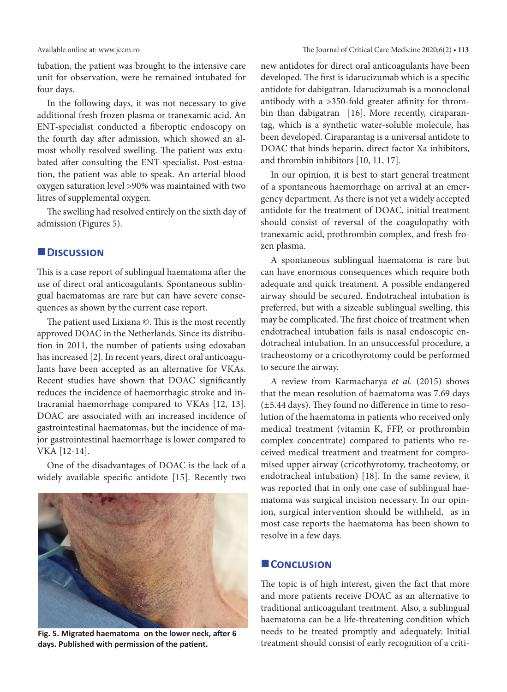tubation, the patient was brought to the intensive care unit for observation, were he remained intubated for four days.

In the following days, it was not necessary to give additional fresh frozen plasma or tranexamic acid. An ENT-specialist conducted a fiberoptic endoscopy on the fourth day after admission, which showed an almost wholly resolved swelling. The patient was extubated after consulting the ENT-specialist. Post-estuation, the patient was able to speak. An arterial blood oxygen saturation level >90% was maintained with two litres of supplemental oxygen.

The swelling had resolved entirely on the sixth day of admission (Figures 5).

#### **Discussion**

This is a case report of sublingual haematoma after the use of direct oral anticoagulants. Spontaneous sublingual haematomas are rare but can have severe consequences as shown by the current case report.

The patient used Lixiana ©. This is the most recently approved DOAC in the Netherlands. Since its distribution in 2011, the number of patients using edoxaban has increased [2]. In recent years, direct oral anticoagulants have been accepted as an alternative for VKAs. Recent studies have shown that DOAC significantly reduces the incidence of haemorrhagic stroke and intracranial haemorrhage compared to VKAs [12, 13]. DOAC are associated with an increased incidence of gastrointestinal haematomas, but the incidence of major gastrointestinal haemorrhage is lower compared to VKA [12-14].

One of the disadvantages of DOAC is the lack of a widely available specific antidote [15]. Recently two



**Fig. 5. Migrated haematoma on the lower neck, after 6 days. Published with permission of the patient.** 

new antidotes for direct oral anticoagulants have been developed. The first is idarucizumab which is a specific antidote for dabigatran. Idarucizumab is a monoclonal antibody with a >350-fold greater affinity for thrombin than dabigatran [16]. More recently, ciraparantag, which is a synthetic water-soluble molecule, has been developed. Ciraparantag is a universal antidote to DOAC that binds heparin, direct factor Xa inhibitors, and thrombin inhibitors [10, 11, 17].

In our opinion, it is best to start general treatment of a spontaneous haemorrhage on arrival at an emergency department. As there is not yet a widely accepted antidote for the treatment of DOAC, initial treatment should consist of reversal of the coagulopathy with tranexamic acid, prothrombin complex, and fresh frozen plasma.

A spontaneous sublingual haematoma is rare but can have enormous consequences which require both adequate and quick treatment. A possible endangered airway should be secured. Endotracheal intubation is preferred, but with a sizeable sublingual swelling, this may be complicated. The first choice of treatment when endotracheal intubation fails is nasal endoscopic endotracheal intubation. In an unsuccessful procedure, a tracheostomy or a cricothyrotomy could be performed to secure the airway.

A review from Karmacharya *et al.* (2015) shows that the mean resolution of haematoma was 7.69 days (±5.44 days). They found no difference in time to resolution of the haematoma in patients who received only medical treatment (vitamin K, FFP, or prothrombin complex concentrate) compared to patients who received medical treatment and treatment for compromised upper airway (cricothyrotomy, tracheotomy, or endotracheal intubation) [18]. In the same review, it was reported that in only one case of sublingual haematoma was surgical incision necessary. In our opinion, surgical intervention should be withheld, as in most case reports the haematoma has been shown to resolve in a few days.

#### **CONCLUSION**

The topic is of high interest, given the fact that more and more patients receive DOAC as an alternative to traditional anticoagulant treatment. Also, a sublingual haematoma can be a life-threatening condition which needs to be treated promptly and adequately. Initial treatment should consist of early recognition of a criti